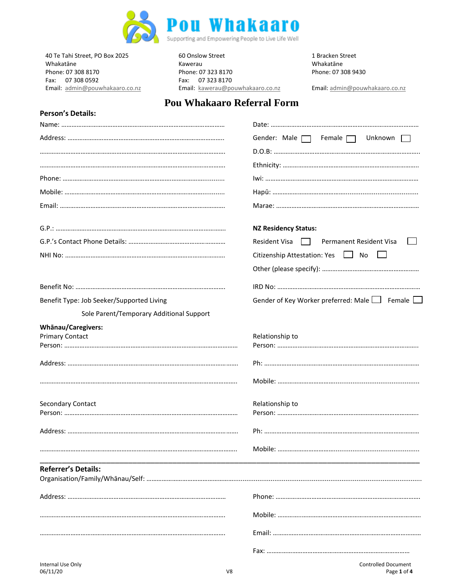

Fax: 07 308 0592 Fax: 07 323 8170

**Person's Details:**

40 Te Tahi Street, PO Box 2025 60 Onslow Street 1 Bracken Street 1 Bracken Street 1 Bracken Street 1 Bracken Street 60 Onslow Street 1 Bracken Street 1 Bracken Street 1 Bracken Street 60 Onslow Street 1 Bracken Street 1 Br Whakatāne Kawerau Whakatāne Phone: 07 308 8170 Phone: 07 323 8170 Phone: 07 308 9430 Email: [admin@pouwhakaaro.co.nz](mailto:admin@pouwhakaaro.co.nz) Email: [kawerau@pouwhakaaro.co.nz](mailto:kawerau@pouwhakaaro.co.nz) Email: [admin@pouwhakaaro.co.nz](mailto:admin@pouwhakaaro.co.nz)

## **Pou Whakaaro Referral Form**

|                                           | Female $\Box$<br>Unknown<br>Gender: Male $\Box$            |
|-------------------------------------------|------------------------------------------------------------|
|                                           |                                                            |
|                                           |                                                            |
|                                           |                                                            |
|                                           |                                                            |
|                                           |                                                            |
|                                           | <b>NZ Residency Status:</b>                                |
|                                           | Resident Visa<br>Permanent Resident Visa<br>$\blacksquare$ |
|                                           | Citizenship Attestation: Yes     No                        |
|                                           |                                                            |
|                                           |                                                            |
| Benefit Type: Job Seeker/Supported Living | Gender of Key Worker preferred: Male   Female              |
| Sole Parent/Temporary Additional Support  |                                                            |
| Whānau/Caregivers:                        |                                                            |
| <b>Primary Contact</b>                    | Relationship to                                            |
|                                           |                                                            |
|                                           |                                                            |
|                                           |                                                            |
| Secondary Contact                         | Relationship to                                            |
|                                           |                                                            |
|                                           |                                                            |
|                                           |                                                            |
| <b>Referrer's Details:</b>                |                                                            |
|                                           |                                                            |
|                                           |                                                            |
|                                           |                                                            |
|                                           |                                                            |
|                                           |                                                            |
| Internal Use Only                         | <b>Controlled Document</b>                                 |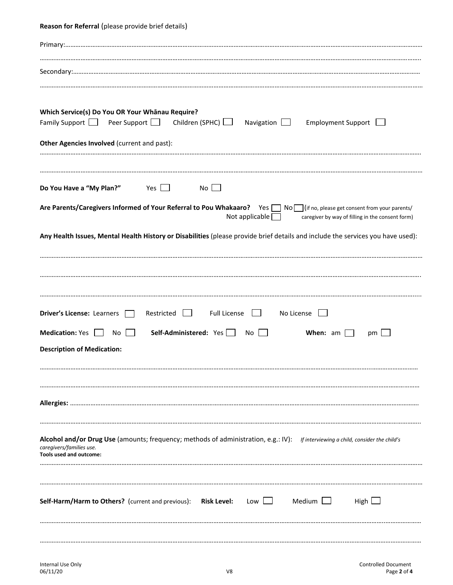## **Reason for Referral** (please provide brief details) Primary:………………………………………………………………………………………………………………………………………………………………………………………… …………………………………………………………………………………………………………………………………………………………………………………………………….. Secondary:…………………………………………………………………………………………………………………………………………………………………………………… ……………………………………………………………………………………………………………………………………………………………………………………………………… **Which Service(s) Do You OR Your Whānau Require?** Family Support  $\Box$  Peer Support  $\Box$  Children (SPHC)  $\Box$  Navigation  $\Box$  Employment Support  $\Box$ **Other Agencies Involved** (current and past): ………………………………………………………….…………………………………………………………………………………………………………………………………………. ……………………………………………………………………………………………………………………………………………………………………………………………………… **Do You Have a "My Plan?"** Yes  $\Box$  No  $\Box$ Are Parents/Caregivers Informed of Your Referral to Pou Whakaaro? Yes No I (if no, please get consent from your parents/ Not applicable  $\Box$  caregiver by way of filling in the consent form) **Any Health Issues, Mental Health History or Disabilities** (please provide brief details and include the services you have used): ……………………………………………………………………………………………………………………………………………………………………………………………………… ………………………………………………………………………………………………………………………………………………….…………………………………………………. …………………………………………………………………………………………………………………………………………………………………………………………………..... **Driver's License:** Learners **Restricted Full License II** No License  $\Box$ **Medication:** Yes No **Self-Administered:** Yes No No **When:** am **No Post Description of Medication:** …………………………………………………………………………………………………………………………………………………………………………...……………………… ………………………………………………………………………………………………………………………………………………………….………………………………………… **Allergies:** ……………………………………………………………………………………………………………………………………………………………………………………. …………………………………………………………………………………………………………………………………………………………………………………………………….. **Alcohol and/or Drug Use** (amounts; frequency; methods of administration, e.g.: IV): *If interviewing a child, consider the child's caregivers/families use.* **Tools used and outcome:**  ……………………………………………………………………………………………………………………………………………………………………………………………………… ……………………………………………………………………………………………………………………………………………………………………………………………………… **Self-Harm/Harm to Others?** (current and previous): **Risk Level:** Low  $\Box$  Medium  $\Box$  High  $\Box$ …………………………………………………………………………………………………………………………………………………………………………………..………………… ……………………………………………………………………………………………………………………………………………………………..………………………………………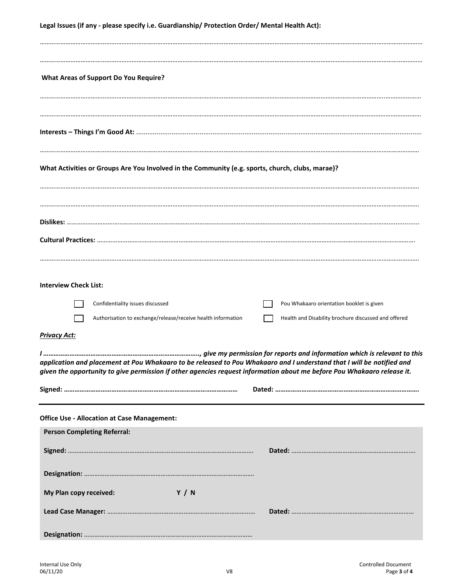| <b>What Areas of Support Do You Require?</b>                                                                            |
|-------------------------------------------------------------------------------------------------------------------------|
|                                                                                                                         |
|                                                                                                                         |
|                                                                                                                         |
|                                                                                                                         |
| What Activities or Groups Are You Involved in the Community (e.g. sports, church, clubs, marae)?                        |
|                                                                                                                         |
|                                                                                                                         |
|                                                                                                                         |
|                                                                                                                         |
|                                                                                                                         |
| <b>Interview Check List:</b>                                                                                            |
|                                                                                                                         |
| Confidentiality issues discussed<br>Pou Whakaaro orientation booklet is given                                           |
| Authorisation to exchange/release/receive health information<br>Health and Disability brochure discussed and offered    |
| <b>Privacy Act:</b>                                                                                                     |
| application and placement at Pou Whakaaro to be released to Pou Whakaaro and I understand that I will be notified and   |
| given the opportunity to give permission if other agencies request information about me before Pou Whakaaro release it. |
|                                                                                                                         |
| <b>Office Use - Allocation at Case Management:</b>                                                                      |
| <b>Person Completing Referral:</b>                                                                                      |
|                                                                                                                         |
|                                                                                                                         |
|                                                                                                                         |
| My Plan copy received:<br><b>Y</b> / N                                                                                  |
|                                                                                                                         |
|                                                                                                                         |